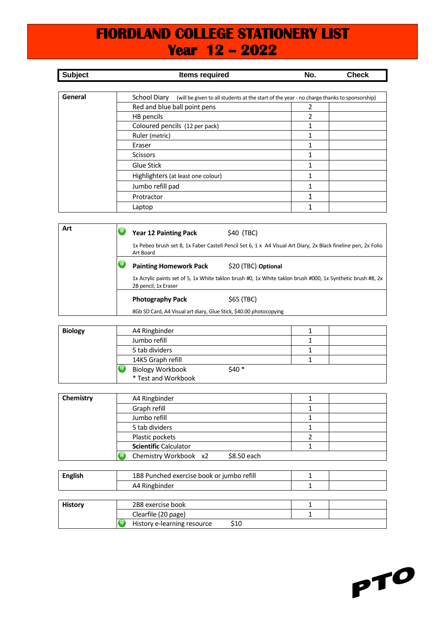## **FIORDLAND COLLEGE STATIONERY LIST Year 12 – 2022**

| <b>Subject</b> | <b>Items required</b>                                                                                      | No.            | <b>Check</b> |
|----------------|------------------------------------------------------------------------------------------------------------|----------------|--------------|
|                |                                                                                                            |                |              |
| General        | School Diary<br>(will be given to all students at the start of the year - no charge thanks to sponsorship) |                |              |
|                | Red and blue ball point pens                                                                               | 2              |              |
|                | HB pencils                                                                                                 | $\mathfrak{p}$ |              |
|                | Coloured pencils (12 per pack)                                                                             |                |              |
|                | Ruler (metric)                                                                                             |                |              |
|                | Eraser                                                                                                     |                |              |
|                | <b>Scissors</b>                                                                                            |                |              |
|                | Glue Stick                                                                                                 |                |              |
|                | Highlighters (at least one colour)                                                                         | 1              |              |
|                | Jumbo refill pad                                                                                           | 1              |              |
|                | Protractor                                                                                                 | 1              |              |
|                | Laptop                                                                                                     | 1              |              |

| Art | <b>Year 12 Painting Pack</b>                                       | \$40 (TBC)                                                                                                    |
|-----|--------------------------------------------------------------------|---------------------------------------------------------------------------------------------------------------|
|     | Art Board                                                          | 1x Pebeo brush set 8, 1x Faber Castell Pencil Set 6, 1 x A4 Visual Art Diary, 2x Black fineline pen, 2x Folio |
|     | <b>Painting Homework Pack</b>                                      | \$20 (TBC) Optional                                                                                           |
|     | 2B pencil, 1x Eraser                                               | 1x Acrylic paints set of 5, 1x White taklon brush #0, 1x White taklon brush #000, 1x Synthetic brush #8, 2x   |
|     | <b>Photography Pack</b>                                            | \$65 (TBC)                                                                                                    |
|     | 8Gb SD Card, A4 Visual art diary, Glue Stick, \$40.00 photocopying |                                                                                                               |

| <b>Biology</b> | A4 Ringbinder                                            |  |
|----------------|----------------------------------------------------------|--|
|                | Jumbo refill                                             |  |
|                | 5 tab dividers                                           |  |
|                | 14K5 Graph refill                                        |  |
|                | \$40 *<br><b>Biology Workbook</b><br>* Test and Workbook |  |

| Chemistry | A4 Ringbinder                        |  |
|-----------|--------------------------------------|--|
|           | Graph refill                         |  |
|           | Jumbo refill                         |  |
|           | 5 tab dividers                       |  |
|           | Plastic pockets                      |  |
|           | <b>Scientific Calculator</b>         |  |
|           | Chemistry Workbook x2<br>\$8.50 each |  |

| <b>English</b> | 1B8 Punched exercise book or jumbo refill |  |
|----------------|-------------------------------------------|--|
|                | A4 Ringbinder                             |  |
|                |                                           |  |
| <b>History</b> | 2B8 exercise book                         |  |
|                | Clearfile (20 page)                       |  |
|                | History e-learning resource<br>\$10       |  |

PTO